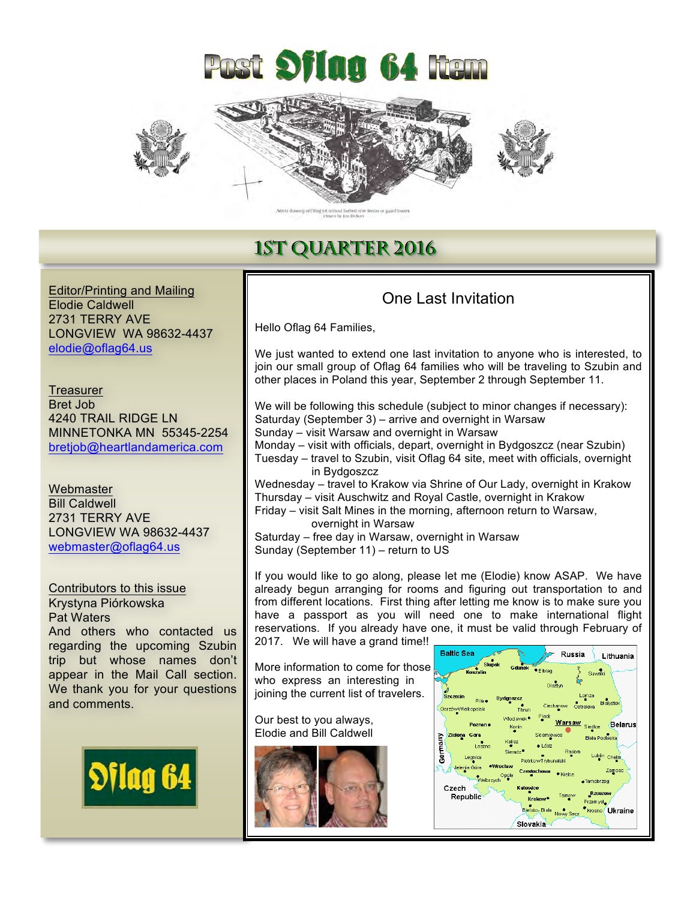



## **1ST QUARTER 2016**

Editor/Printing and Mailing Elodie Caldwell 2731 TERRY AVE LONGVIEW WA 98632-4437 elodie@oflag64.us

**Treasurer** Bret Job 4240 TRAIL RIDGE LN MINNETONKA MN 55345-2254 bretjob@heartlandamerica.com

**Webmaster** Bill Caldwell 2731 TERRY AVE LONGVIEW WA 98632-4437 webmaster@oflag64.us

Contributors to this issue Krystyna Piórkowska Pat Waters And others who contacted us regarding the upcoming Szubin trip but whose names don't appear in the Mail Call section. We thank you for your questions and comments.



### One Last Invitation

Hello Oflag 64 Families,

We just wanted to extend one last invitation to anyone who is interested, to join our small group of Oflag 64 families who will be traveling to Szubin and other places in Poland this year, September 2 through September 11.

We will be following this schedule (subject to minor changes if necessary): Saturday (September 3) – arrive and overnight in Warsaw Sunday – visit Warsaw and overnight in Warsaw Monday – visit with officials, depart, overnight in Bydgoszcz (near Szubin)

Tuesday – travel to Szubin, visit Oflag 64 site, meet with officials, overnight in Bydgoszcz

Wednesday – travel to Krakow via Shrine of Our Lady, overnight in Krakow Thursday – visit Auschwitz and Royal Castle, overnight in Krakow

Friday – visit Salt Mines in the morning, afternoon return to Warsaw, overnight in Warsaw

Saturday – free day in Warsaw, overnight in Warsaw Sunday (September 11) – return to US

If you would like to go along, please let me (Elodie) know ASAP. We have already begun arranging for rooms and figuring out transportation to and from different locations. First thing after letting me know is to make sure you have a passport as you will need one to make international flight reservations. If you already have one, it must be valid through February of 2017. We will have a grand time!!

More information to come for those who express an interesting in joining the current list of travelers.

Our best to you always, Elodie and Bill Caldwell



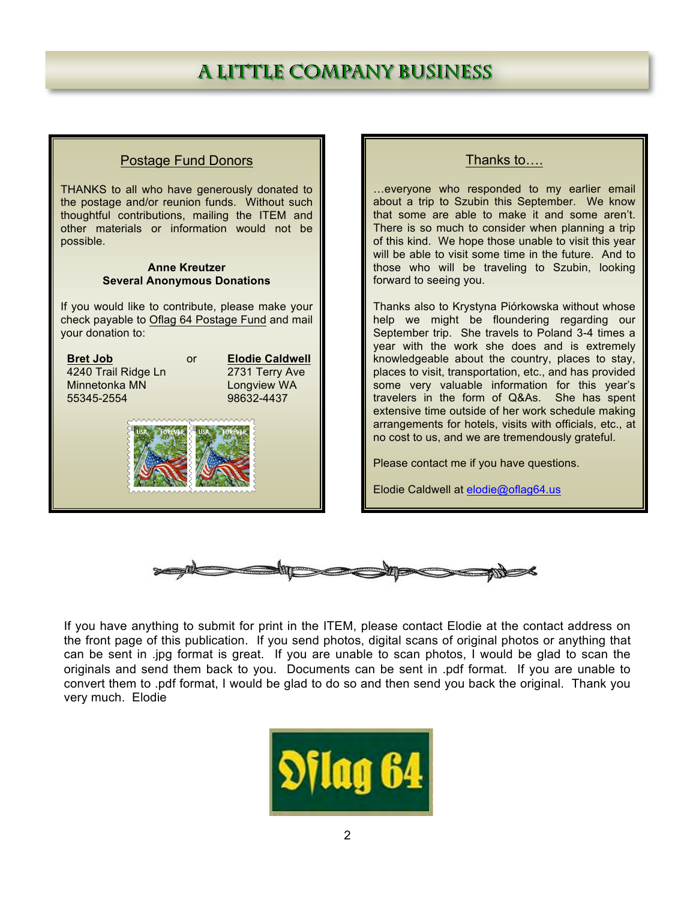# **A LITTLE COMPANY BUSINESS**

### Postage Fund Donors

THANKS to all who have generously donated to the postage and/or reunion funds. Without such thoughtful contributions, mailing the ITEM and other materials or information would not be possible.

#### **Anne Kreutzer Several Anonymous Donations**

If you would like to contribute, please make your check payable to Oflag 64 Postage Fund and mail your donation to:

**Bret Job** or **Elodie Caldwell**<br>4240 Trail Ridge Ln 2731 Terry Ave 4240 Trail Ridge Ln Minnetonka MN Longview WA 55345-2554 98632-4437



#### Thanks to….

…everyone who responded to my earlier email about a trip to Szubin this September. We know that some are able to make it and some aren't. There is so much to consider when planning a trip of this kind. We hope those unable to visit this year will be able to visit some time in the future. And to those who will be traveling to Szubin, looking forward to seeing you.

Thanks also to Krystyna Piórkowska without whose help we might be floundering regarding our September trip. She travels to Poland 3-4 times a year with the work she does and is extremely knowledgeable about the country, places to stay, places to visit, transportation, etc., and has provided some very valuable information for this year's travelers in the form of Q&As. She has spent extensive time outside of her work schedule making arrangements for hotels, visits with officials, etc., at no cost to us, and we are tremendously grateful.

Please contact me if you have questions.

Elodie Caldwell at elodie@oflag64.us



If you have anything to submit for print in the ITEM, please contact Elodie at the contact address on the front page of this publication. If you send photos, digital scans of original photos or anything that can be sent in .jpg format is great. If you are unable to scan photos, I would be glad to scan the originals and send them back to you. Documents can be sent in .pdf format. If you are unable to convert them to .pdf format, I would be glad to do so and then send you back the original. Thank you very much. Elodie

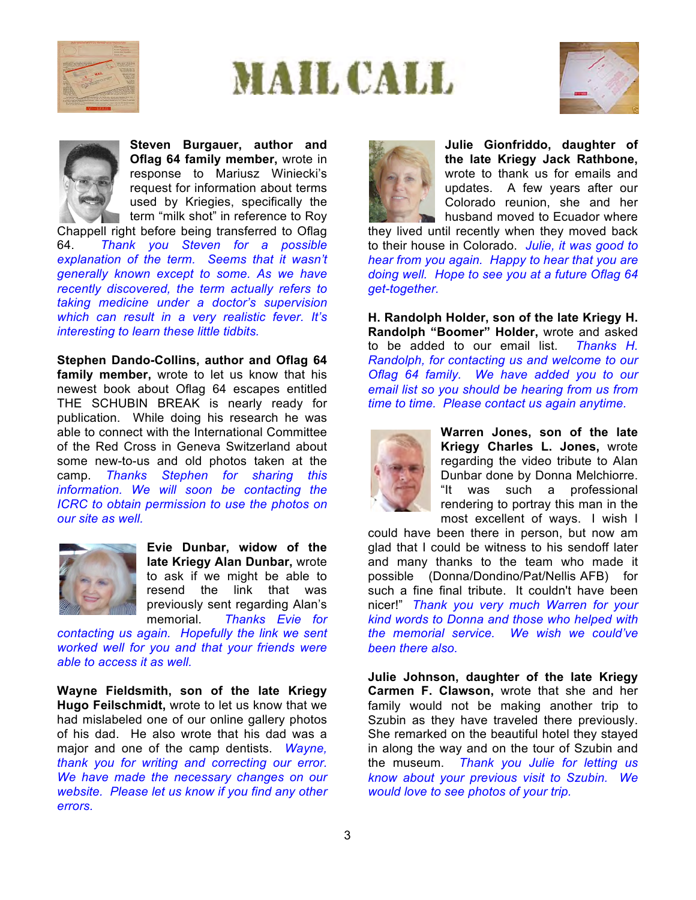







**Steven Burgauer, author and Oflag 64 family member,** wrote in response to Mariusz Winiecki's request for information about terms used by Kriegies, specifically the term "milk shot" in reference to Roy

Chappell right before being transferred to Oflag 64. *Thank you Steven for a possible explanation of the term. Seems that it wasn't generally known except to some. As we have recently discovered, the term actually refers to taking medicine under a doctor's supervision which can result in a very realistic fever. It's interesting to learn these little tidbits.*

**Stephen Dando-Collins, author and Oflag 64 family member,** wrote to let us know that his newest book about Oflag 64 escapes entitled THE SCHUBIN BREAK is nearly ready for publication. While doing his research he was able to connect with the International Committee of the Red Cross in Geneva Switzerland about some new-to-us and old photos taken at the camp. *Thanks Stephen for sharing this information. We will soon be contacting the ICRC to obtain permission to use the photos on our site as well.*



**Evie Dunbar, widow of the late Kriegy Alan Dunbar,** wrote to ask if we might be able to resend the link that was previously sent regarding Alan's memorial. *Thanks Evie for* 

*contacting us again. Hopefully the link we sent worked well for you and that your friends were able to access it as well.* 

**Wayne Fieldsmith, son of the late Kriegy Hugo Feilschmidt,** wrote to let us know that we had mislabeled one of our online gallery photos of his dad. He also wrote that his dad was a major and one of the camp dentists. *Wayne, thank you for writing and correcting our error. We have made the necessary changes on our website. Please let us know if you find any other errors.* 



**Julie Gionfriddo, daughter of the late Kriegy Jack Rathbone,**  wrote to thank us for emails and updates. A few years after our Colorado reunion, she and her husband moved to Ecuador where

they lived until recently when they moved back to their house in Colorado. *Julie, it was good to hear from you again. Happy to hear that you are doing well. Hope to see you at a future Oflag 64 get-together.*

**H. Randolph Holder, son of the late Kriegy H. Randolph "Boomer" Holder,** wrote and asked to be added to our email list. *Thanks H. Randolph, for contacting us and welcome to our Oflag 64 family. We have added you to our email list so you should be hearing from us from time to time. Please contact us again anytime.*



**Warren Jones, son of the late Kriegy Charles L. Jones,** wrote regarding the video tribute to Alan Dunbar done by Donna Melchiorre. "It was such a professional rendering to portray this man in the most excellent of ways. I wish I

could have been there in person, but now am glad that I could be witness to his sendoff later and many thanks to the team who made it possible (Donna/Dondino/Pat/Nellis-AFB) for such a fine final tribute. It couldn't have been nicer!" *Thank you very much Warren for your kind words to Donna and those who helped with the memorial service. We wish we could've been there also.* 

**Julie Johnson, daughter of the late Kriegy Carmen F. Clawson,** wrote that she and her family would not be making another trip to Szubin as they have traveled there previously. She remarked on the beautiful hotel they stayed in along the way and on the tour of Szubin and the museum. *Thank you Julie for letting us know about your previous visit to Szubin. We would love to see photos of your trip.*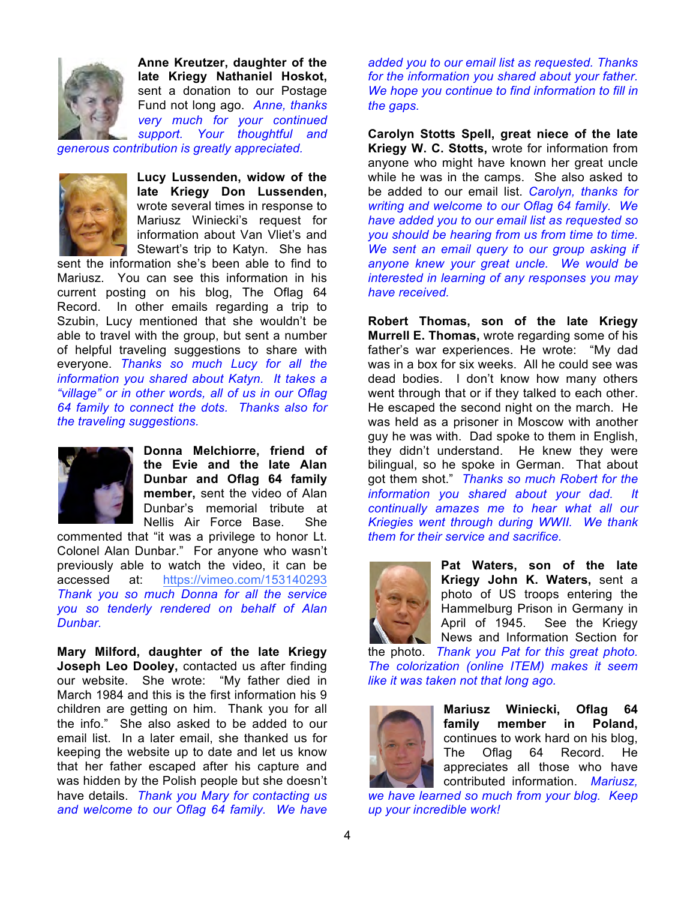

**Anne Kreutzer, daughter of the late Kriegy Nathaniel Hoskot,**  sent a donation to our Postage Fund not long ago. *Anne, thanks very much for your continued support. Your thoughtful and* 

*generous contribution is greatly appreciated.* 



**Lucy Lussenden, widow of the late Kriegy Don Lussenden,** wrote several times in response to Mariusz Winiecki's request for information about Van Vliet's and Stewart's trip to Katyn. She has

sent the information she's been able to find to Mariusz. You can see this information in his current posting on his blog, The Oflag 64 Record. In other emails regarding a trip to Szubin, Lucy mentioned that she wouldn't be able to travel with the group, but sent a number of helpful traveling suggestions to share with everyone. *Thanks so much Lucy for all the information you shared about Katyn. It takes a "village" or in other words, all of us in our Oflag 64 family to connect the dots. Thanks also for the traveling suggestions.* 



**Donna Melchiorre, friend of the Evie and the late Alan Dunbar and Oflag 64 family member,** sent the video of Alan Dunbar's memorial tribute at Nellis Air Force Base. She

commented that "it was a privilege to honor Lt. Colonel Alan Dunbar." For anyone who wasn't previously able to watch the video, it can be accessed at: https://vimeo.com/153140293 *Thank you so much Donna for all the service you so tenderly rendered on behalf of Alan Dunbar.* 

**Mary Milford, daughter of the late Kriegy Joseph Leo Dooley,** contacted us after finding our website. She wrote: "My father died in March 1984 and this is the first information his 9 children are getting on him. Thank you for all the info." She also asked to be added to our email list. In a later email, she thanked us for keeping the website up to date and let us know that her father escaped after his capture and was hidden by the Polish people but she doesn't have details. *Thank you Mary for contacting us and welcome to our Oflag 64 family. We have* 

*added you to our email list as requested. Thanks for the information you shared about your father. We hope you continue to find information to fill in the gaps.* 

**Carolyn Stotts Spell, great niece of the late Kriegy W. C. Stotts,** wrote for information from anyone who might have known her great uncle while he was in the camps. She also asked to be added to our email list. *Carolyn, thanks for writing and welcome to our Oflag 64 family. We have added you to our email list as requested so you should be hearing from us from time to time. We sent an email query to our group asking if anyone knew your great uncle. We would be interested in learning of any responses you may have received.* 

**Robert Thomas, son of the late Kriegy Murrell E. Thomas,** wrote regarding some of his father's war experiences. He wrote: "My dad was in a box for six weeks. All he could see was dead bodies. I don't know how many others went through that or if they talked to each other. He escaped the second night on the march. He was held as a prisoner in Moscow with another guy he was with. Dad spoke to them in English, they didn't understand. He knew they were bilingual, so he spoke in German. That about got them shot." *Thanks so much Robert for the information you shared about your dad. It continually amazes me to hear what all our Kriegies went through during WWII. We thank them for their service and sacrifice.*



**Pat Waters, son of the late Kriegy John K. Waters,** sent a photo of US troops entering the Hammelburg Prison in Germany in April of 1945. See the Kriegy News and Information Section for

the photo. *Thank you Pat for this great photo. The colorization (online ITEM) makes it seem like it was taken not that long ago.*



**Mariusz Winiecki, Oflag 64 family member in Poland,**  continues to work hard on his blog, The Oflag 64 Record. He appreciates all those who have contributed information. *Mariusz,* 

*we have learned so much from your blog. Keep up your incredible work!*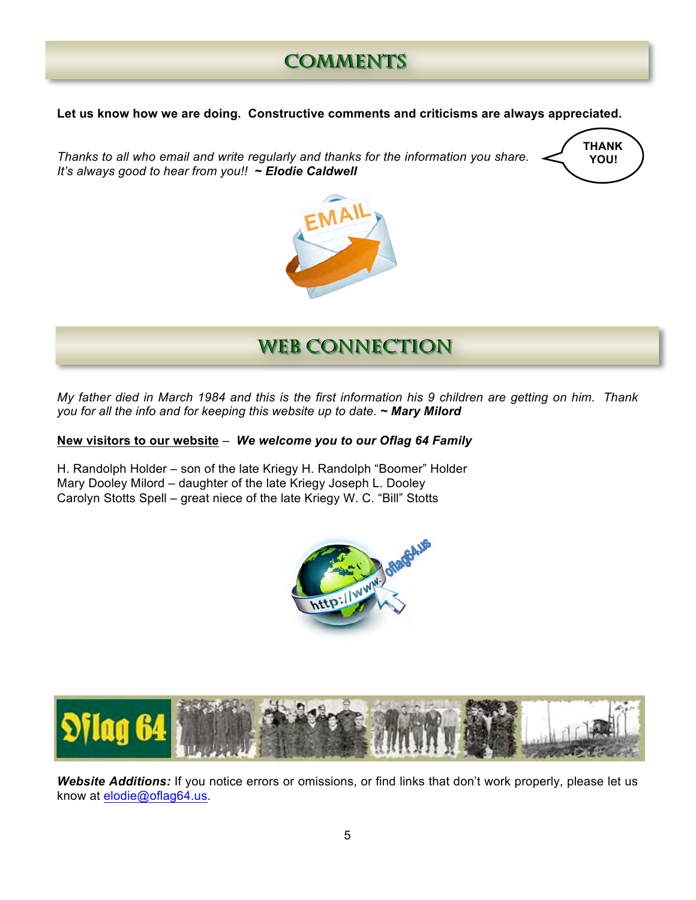## **COMMENTS**

**Let us know how we are doing. Constructive comments and criticisms are always appreciated.** 

**Thanks to all who email and write regularly and thanks for the information you share. <br><b>Thanks to all who email and write regularly and thanks for the information you share.** *It's always good to hear from you!! ~ Elodie Caldwell*





**WEB CONNECTION** 

*My father died in March 1984 and this is the first information his 9 children are getting on him. Thank you for all the info and for keeping this website up to date. ~ Mary Milord* **SS**

## **New visitors to our website** – *We welcome you to our Oflag 64 Family* **ss**

H. Randolph Holder – son of the late Kriegy H. Randolph "Boomer" Holder Mary Dooley Milord – daughter of the late Kriegy Joseph L. Dooley Carolyn Stotts Spell – great niece of the late Kriegy W. C. "Bill" Stotts





*Website Additions:* If you notice errors or omissions, or find links that don't work properly, please let us know at elodie@oflag64.us.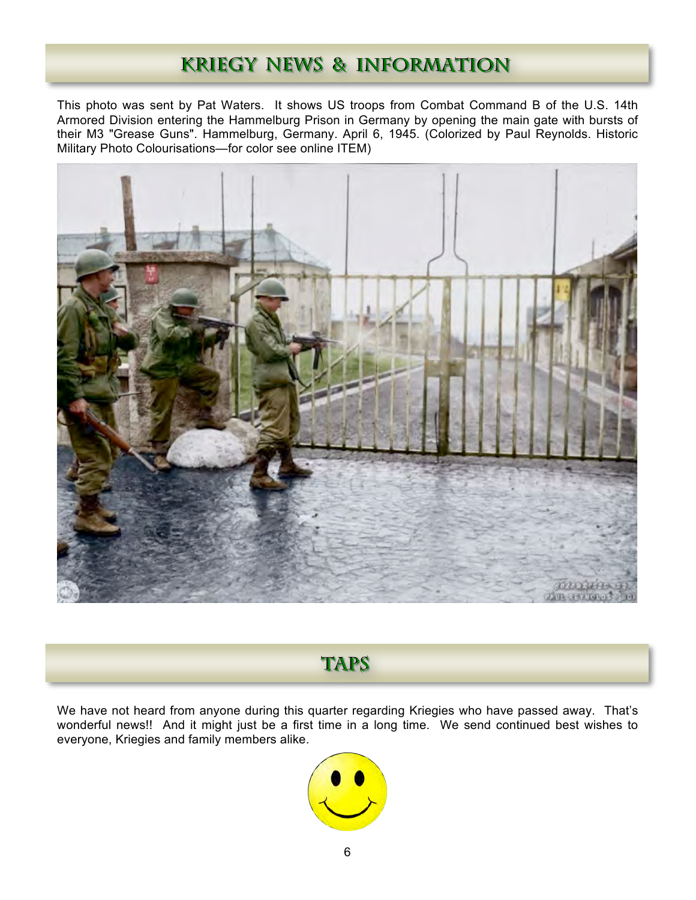## **KRIEGY NEWS & INFORMATION**

This photo was sent by Pat Waters. It shows US troops from Combat Command B of the U.S. 14th Armored Division entering the Hammelburg Prison in Germany by opening the main gate with bursts of their M3 "Grease Guns". Hammelburg, Germany. April 6, 1945. (Colorized by Paul Reynolds. Historic Military Photo Colourisations—for color see online ITEM)



## **TAPS**

We have not heard from anyone during this quarter regarding Kriegies who have passed away. That's wonderful news!! And it might just be a first time in a long time. We send continued best wishes to everyone, Kriegies and family members alike.

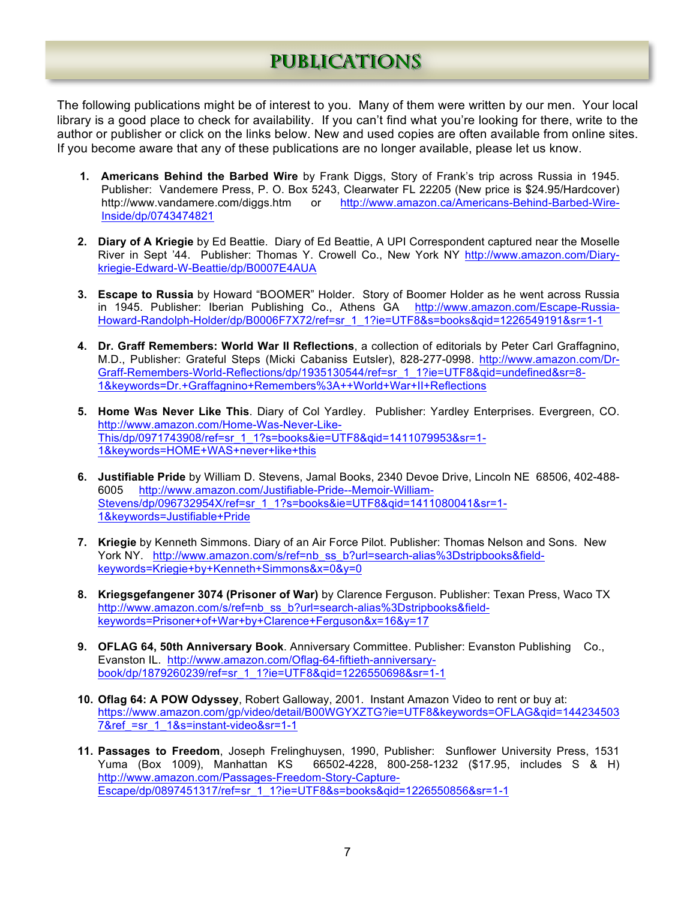## **PUBLICATIONS**

The following publications might be of interest to you. Many of them were written by our men. Your local library is a good place to check for availability. If you can't find what you're looking for there, write to the author or publisher or click on the links below. New and used copies are often available from online sites. If you become aware that any of these publications are no longer available, please let us know.

- **1. Americans Behind the Barbed Wire** by Frank Diggs, Story of Frank's trip across Russia in 1945. Publisher: Vandemere Press, P. O. Box 5243, Clearwater FL 22205 (New price is \$24.95/Hardcover) http://www.vandamere.com/diggs.htm or http://www.amazon.ca/Americans-Behind-Barbed-Wire-Inside/dp/0743474821
- **2. Diary of A Kriegie** by Ed Beattie. Diary of Ed Beattie, A UPI Correspondent captured near the Moselle River in Sept '44.Publisher: Thomas Y. Crowell Co., New York NY http://www.amazon.com/Diarykriegie-Edward-W-Beattie/dp/B0007E4AUA
- **3. Escape to Russia** by Howard "BOOMER" Holder. Story of Boomer Holder as he went across Russia in 1945. Publisher: Iberian Publishing Co., Athens GA http://www.amazon.com/Escape-Russia-Howard-Randolph-Holder/dp/B0006F7X72/ref=sr\_1\_1?ie=UTF8&s=books&qid=1226549191&sr=1-1
- **4. Dr. Graff Remembers: World War II Reflections**, a collection of editorials by Peter Carl Graffagnino, M.D., Publisher: Grateful Steps (Micki Cabaniss Eutsler), 828-277-0998. http://www.amazon.com/Dr-Graff-Remembers-World-Reflections/dp/1935130544/ref=sr\_1\_1?ie=UTF8&qid=undefined&sr=8- 1&keywords=Dr.+Graffagnino+Remembers%3A++World+War+II+Reflections
- **5. Home W**a**s Never Like This**. Diary of Col Yardley. Publisher: Yardley Enterprises. Evergreen, CO. http://www.amazon.com/Home-Was-Never-Like-This/dp/0971743908/ref=sr\_1\_1?s=books&ie=UTF8&qid=1411079953&sr=1- 1&keywords=HOME+WAS+never+like+this
- **6. Justifiable Pride** by William D. Stevens, Jamal Books, 2340 Devoe Drive, Lincoln NE 68506, 402-488- 6005 http://www.amazon.com/Justifiable-Pride--Memoir-William-Stevens/dp/096732954X/ref=sr\_1\_1?s=books&ie=UTF8&qid=1411080041&sr=1- 1&keywords=Justifiable+Pride
- **7. Kriegie** by Kenneth Simmons. Diary of an Air Force Pilot. Publisher: Thomas Nelson and Sons. New York NY. http://www.amazon.com/s/ref=nb\_ss\_b?url=search-alias%3Dstripbooks&fieldkeywords=Kriegie+by+Kenneth+Simmons&x=0&y=0
- **8. Kriegsgefangener 3074 (Prisoner of War)** by Clarence Ferguson. Publisher: Texan Press, Waco TX http://www.amazon.com/s/ref=nb\_ss\_b?url=search-alias%3Dstripbooks&fieldkeywords=Prisoner+of+War+by+Clarence+Ferguson&x=16&y=17
- **9. OFLAG 64, 50th Anniversary Book**. Anniversary Committee. Publisher: Evanston Publishing Co., Evanston IL. http://www.amazon.com/Oflag-64-fiftieth-anniversarybook/dp/1879260239/ref=sr\_1\_1?ie=UTF8&qid=1226550698&sr=1-1
- **10. Oflag 64: A POW Odyssey**, Robert Galloway, 2001. Instant Amazon Video to rent or buy at: https://www.amazon.com/gp/video/detail/B00WGYXZTG?ie=UTF8&keywords=OFLAG&qid=144234503 7&ref =sr\_1\_1&s=instant-video&sr=1-1
- **11. Passages to Freedom**, Joseph Frelinghuysen, 1990, Publisher: Sunflower University Press, 1531 Yuma (Box 1009), Manhattan KS 66502-4228, 800-258-1232 (\$17.95, includes S & H) http://www.amazon.com/Passages-Freedom-Story-Capture-Escape/dp/0897451317/ref=sr\_1\_1?ie=UTF8&s=books&qid=1226550856&sr=1-1